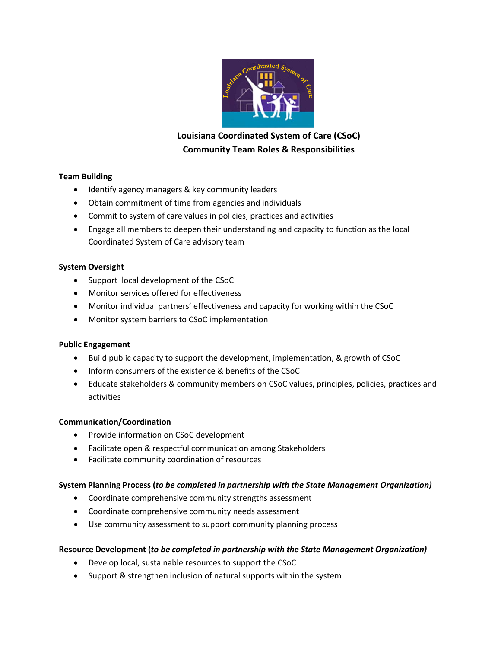

# Louisiana Coordinated System of Care (CSoC) **Community Team Roles & Responsibilities**

## **Team(Building**

- Identify agency managers & key community leaders
- Obtain commitment of time from agencies and individuals
- Commit to system of care values in policies, practices and activities
- Engage all members to deepen their understanding and capacity to function as the local Coordinated System of Care advisory team

## **System Oversight**

- Support local development of the CSoC
- Monitor services offered for effectiveness
- Monitor individual partners' effectiveness and capacity for working within the CSoC
- Monitor system barriers to CSoC implementation

#### **Public Engagement**

- Build public capacity to support the development, implementation, & growth of CSoC
- Inform consumers of the existence & benefits of the CSoC
- Educate stakeholders & community members on CSoC values, principles, policies, practices and activities

#### **Communication/Coordination**

- Provide information on CSoC development
- Facilitate open & respectful communication among Stakeholders
- Facilitate community coordination of resources

# System Planning Process (*to be completed in partnership with the State Management Organization)*

- Coordinate comprehensive community strengths assessment
- Coordinate comprehensive community needs assessment
- Use community assessment to support community planning process

# Resource Development (*to be completed in partnership with the State Management Organization)*

- Develop local, sustainable resources to support the CSoC
- Support & strengthen inclusion of natural supports within the system